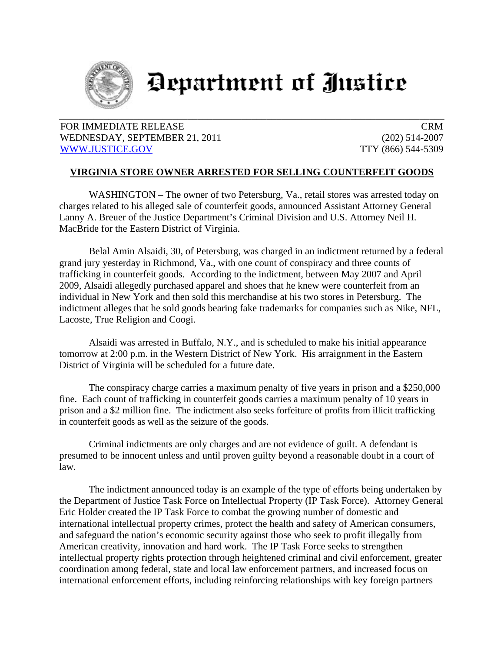

## Department of Justice

## FOR IMMEDIATE RELEASE CRM WEDNESDAY, SEPTEMBER 21, 2011 (202) 514-2007 WWW.JUSTICE.GOV TTY (866) 544-5309

## **VIRGINIA STORE OWNER ARRESTED FOR SELLING COUNTERFEIT GOODS**

WASHINGTON – The owner of two Petersburg, Va., retail stores was arrested today on charges related to his alleged sale of counterfeit goods, announced Assistant Attorney General Lanny A. Breuer of the Justice Department's Criminal Division and U.S. Attorney Neil H. MacBride for the Eastern District of Virginia.

Belal Amin Alsaidi, 30, of Petersburg, was charged in an indictment returned by a federal grand jury yesterday in Richmond, Va., with one count of conspiracy and three counts of trafficking in counterfeit goods. According to the indictment, between May 2007 and April 2009, Alsaidi allegedly purchased apparel and shoes that he knew were counterfeit from an individual in New York and then sold this merchandise at his two stores in Petersburg. The indictment alleges that he sold goods bearing fake trademarks for companies such as Nike, NFL, Lacoste, True Religion and Coogi.

Alsaidi was arrested in Buffalo, N.Y., and is scheduled to make his initial appearance tomorrow at 2:00 p.m. in the Western District of New York. His arraignment in the Eastern District of Virginia will be scheduled for a future date.

The conspiracy charge carries a maximum penalty of five years in prison and a \$250,000 fine. Each count of trafficking in counterfeit goods carries a maximum penalty of 10 years in prison and a \$2 million fine. The indictment also seeks forfeiture of profits from illicit trafficking in counterfeit goods as well as the seizure of the goods.

Criminal indictments are only charges and are not evidence of guilt. A defendant is presumed to be innocent unless and until proven guilty beyond a reasonable doubt in a court of law.

The indictment announced today is an example of the type of efforts being undertaken by the Department of Justice Task Force on Intellectual Property (IP Task Force). Attorney General Eric Holder created the IP Task Force to combat the growing number of domestic and international intellectual property crimes, protect the health and safety of American consumers, and safeguard the nation's economic security against those who seek to profit illegally from American creativity, innovation and hard work. The IP Task Force seeks to strengthen intellectual property rights protection through heightened criminal and civil enforcement, greater coordination among federal, state and local law enforcement partners, and increased focus on international enforcement efforts, including reinforcing relationships with key foreign partners